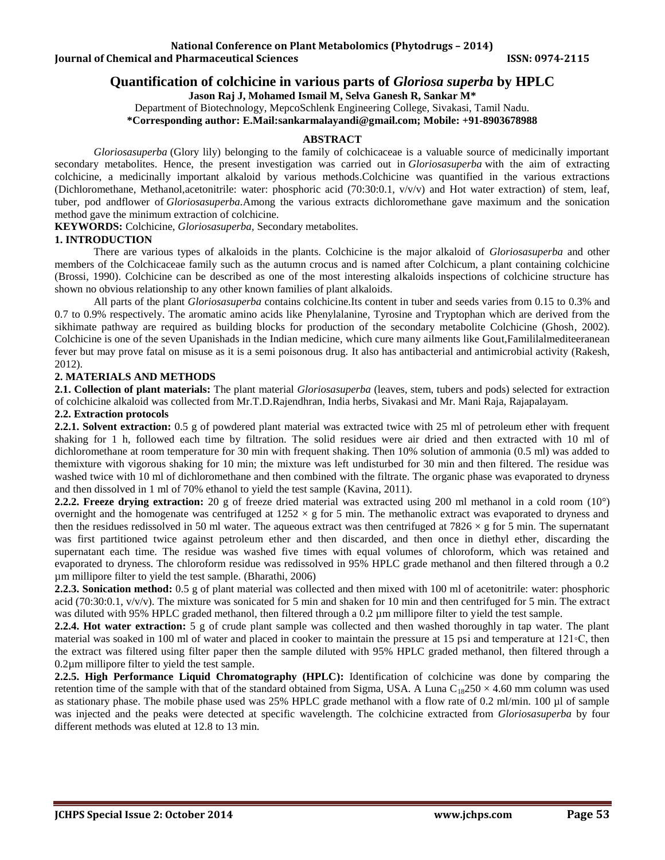# **National Conference on Plant Metabolomics (Phytodrugs – 2014) Iournal of Chemical and Pharmaceutical Sciences ISSN: 0974-2115**

# **Quantification of colchicine in various parts of** *Gloriosa superba* **by HPLC**

**Jason Raj J, Mohamed Ismail M, Selva Ganesh R, Sankar M\***

Department of Biotechnology, MepcoSchlenk Engineering College, Sivakasi, Tamil Nadu.

**\*Corresponding author: E.Mail[:sankarmalayandi@gmail.com;](mailto:sankarmalayandi@gmail.com) Mobile: +91-8903678988**

### **ABSTRACT**

*Gloriosasuperba* (Glory lily) belonging to the family of colchicaceae is a valuable source of medicinally important secondary metabolites. Hence, the present investigation was carried out in *Gloriosasuperba* with the aim of extracting colchicine, a medicinally important alkaloid by various methods.Colchicine was quantified in the various extractions (Dichloromethane, Methanol,acetonitrile: water: phosphoric acid (70:30:0.1, v/v/v) and Hot water extraction) of stem, leaf, tuber, pod andflower of *Gloriosasuperba.*Among the various extracts dichloromethane gave maximum and the sonication method gave the minimum extraction of colchicine.

**KEYWORDS:** Colchicine, *Gloriosasuperba,* Secondary metabolites.

### **1. INTRODUCTION**

There are various types of alkaloids in the plants. Colchicine is the major alkaloid of *Gloriosasuperba* and other members of the Colchicaceae family such as the autumn crocus and is named after Colchicum, a plant containing colchicine (Brossi, 1990). Colchicine can be described as one of the most interesting alkaloids inspections of colchicine structure has shown no obvious relationship to any other known families of plant alkaloids.

All parts of the plant *Gloriosasuperba* contains colchicine.Its content in tuber and seeds varies from 0.15 to 0.3% and 0.7 to 0.9% respectively. The aromatic amino acids like Phenylalanine, Tyrosine and Tryptophan which are derived from the sikhimate pathway are required as building blocks for production of the secondary metabolite Colchicine (Ghosh, 2002). Colchicine is one of the seven Upanishads in the Indian medicine, which cure many ailments like Gout,Famililalmediteeranean fever but may prove fatal on misuse as it is a semi poisonous drug. It also has antibacterial and antimicrobial activity (Rakesh, 2012).

# **2. MATERIALS AND METHODS**

**2.1. Collection of plant materials:** The plant material *Gloriosasuperba* (leaves, stem, tubers and pods) selected for extraction of colchicine alkaloid was collected from Mr.T.D.Rajendhran, India herbs, Sivakasi and Mr. Mani Raja, Rajapalayam.

## **2.2. Extraction protocols**

**2.2.1. Solvent extraction:** 0.5 g of powdered plant material was extracted twice with 25 ml of petroleum ether with frequent shaking for 1 h, followed each time by filtration. The solid residues were air dried and then extracted with 10 ml of dichloromethane at room temperature for 30 min with frequent shaking. Then 10% solution of ammonia (0.5 ml) was added to themixture with vigorous shaking for 10 min; the mixture was left undisturbed for 30 min and then filtered. The residue was washed twice with 10 ml of dichloromethane and then combined with the filtrate. The organic phase was evaporated to dryness and then dissolved in 1 ml of 70% ethanol to yield the test sample (Kavina, 2011).

**2.2.2. Freeze drying extraction:** 20 g of freeze dried material was extracted using 200 ml methanol in a cold room (10°) overnight and the homogenate was centrifuged at  $1252 \times g$  for 5 min. The methanolic extract was evaporated to dryness and then the residues redissolved in 50 ml water. The aqueous extract was then centrifuged at  $7826 \times g$  for 5 min. The supernatant was first partitioned twice against petroleum ether and then discarded, and then once in diethyl ether, discarding the supernatant each time. The residue was washed five times with equal volumes of chloroform, which was retained and evaporated to dryness. The chloroform residue was redissolved in 95% HPLC grade methanol and then filtered through a 0.2 µm millipore filter to yield the test sample. (Bharathi, 2006)

**2.2.3. Sonication method:** 0.5 g of plant material was collected and then mixed with 100 ml of acetonitrile: water: phosphoric acid (70:30:0.1, v/v/v). The mixture was sonicated for 5 min and shaken for 10 min and then centrifuged for 5 min. The extract was diluted with 95% HPLC graded methanol, then filtered through a 0.2 µm millipore filter to yield the test sample.

**2.2.4. Hot water extraction:** 5 g of crude plant sample was collected and then washed thoroughly in tap water. The plant material was soaked in 100 ml of water and placed in cooker to maintain the pressure at 15 psi and temperature at 121◦C, then the extract was filtered using filter paper then the sample diluted with 95% HPLC graded methanol, then filtered through a 0.2µm millipore filter to yield the test sample.

**2.2.5. High Performance Liquid Chromatography (HPLC):** Identification of colchicine was done by comparing the retention time of the sample with that of the standard obtained from Sigma, USA. A Luna  $C_{18}250 \times 4.60$  mm column was used as stationary phase. The mobile phase used was 25% HPLC grade methanol with a flow rate of 0.2 ml/min. 100 µl of sample was injected and the peaks were detected at specific wavelength. The colchicine extracted from *Gloriosasuperba* by four different methods was eluted at 12.8 to 13 min.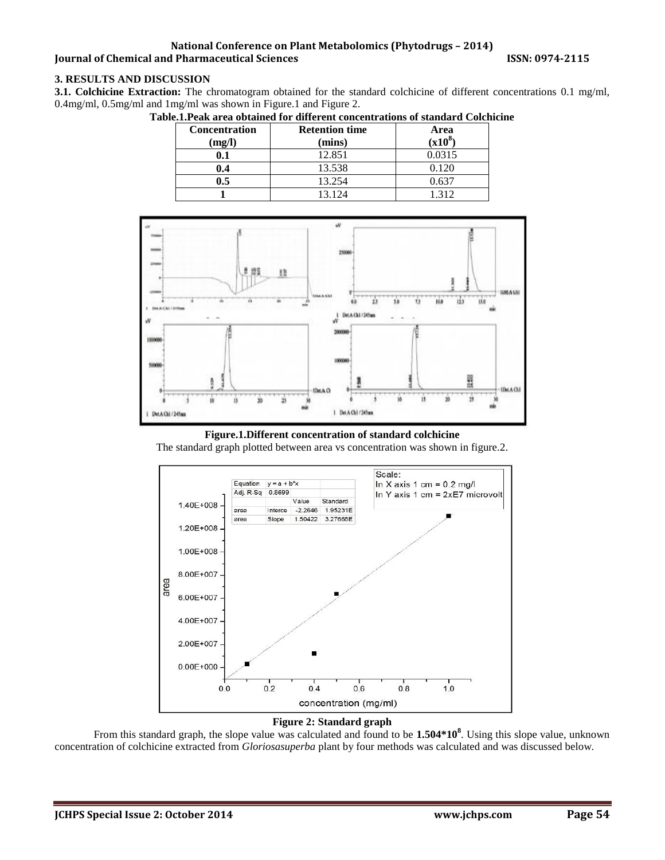#### **National Conference on Plant Metabolomics (Phytodrugs – 2014) Journal of Chemical and Pharmaceutical Sciences 19974-2015 ISSN: 0974-2115**

# **3. RESULTS AND DISCUSSION**

**3.1. Colchicine Extraction:** The chromatogram obtained for the standard colchicine of different concentrations 0.1 mg/ml, 0.4mg/ml, 0.5mg/ml and 1mg/ml was shown in Figure.1 and Figure 2.

| <b>Concentration</b><br>(mg/l) | <b>Retention time</b><br>(mins) | Area<br>$(x10^8$ |
|--------------------------------|---------------------------------|------------------|
|                                | 12.851                          | 0.0315           |
| ).4                            | 13.538                          | 1.120            |
| ).5                            | 13.254                          | 0.637            |
|                                | 3 1 2 4                         | 312              |





**Figure.1.Different concentration of standard colchicine** 

The standard graph plotted between area vs concentration was shown in figure.2.



#### **Figure 2: Standard graph**

From this standard graph, the slope value was calculated and found to be **1.504\*10<sup>8</sup>** . Using this slope value, unknown concentration of colchicine extracted from *Gloriosasuperba* plant by four methods was calculated and was discussed below.